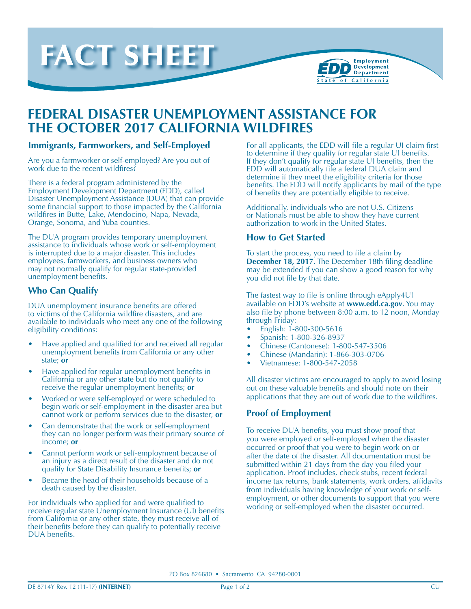



# **FEDERAL DISASTER UNEMPLOYMENT ASSISTANCE FOR THE OCTOBER 2017 CALIFORNIA WILDFIRES**

#### **Immigrants, Farmworkers, and Self-Employed**

Are you a farmworker or self-employed? Are you out of work due to the recent wildfires?

There is a federal program administered by the Employment Development Department (EDD), called Disaster Unemployment Assistance (DUA) that can provide some financial support to those impacted by the California wildfires in Butte, Lake, Mendocino, Napa, Nevada, Orange, Sonoma, and Yuba counties.

The DUA program provides temporary unemployment assistance to individuals whose work or self-employment is interrupted due to a major disaster. This includes employees, farmworkers, and business owners who may not normally qualify for regular state-provided unemployment benefits.

### **Who Can Qualify**

DUA unemployment insurance benefits are offered to victims of the California wildfire disasters, and are available to individuals who meet any one of the following eligibility conditions:

- Have applied and qualified for and received all regular unemployment benefits from California or any other state; **or**
- Have applied for regular unemployment benefits in California or any other state but do not qualify to receive the regular unemployment benefits; **or**
- Worked or were self-employed or were scheduled to begin work or self-employment in the disaster area but cannot work or perform services due to the disaster; **or**
- Can demonstrate that the work or self-employment they can no longer perform was their primary source of income; **or**
- Cannot perform work or self-employment because of an injury as a direct result of the disaster and do not qualify for State Disability Insurance benefits; **or**
- Became the head of their households because of a death caused by the disaster.

For individuals who applied for and were qualified to receive regular state Unemployment Insurance (UI) benefits from California or any other state, they must receive all of their benefits before they can qualify to potentially receive DUA benefits.

For all applicants, the EDD will file a regular UI claim first to determine if they qualify for regular state UI benefits. If they don't qualify for regular state UI benefits, then the EDD will automatically file a federal DUA claim and determine if they meet the eligibility criteria for those benefits. The EDD will notify applicants by mail of the type of benefits they are potentially eligible to receive.

Additionally, individuals who are not U.S. Citizens or Nationals must be able to show they have current authorization to work in the United States.

#### **How to Get Started**

To start the process, you need to file a claim by **December 18, 2017**. The December 18th filing deadline may be extended if you can show a good reason for why you did not file by that date.

The fastest way to file is online through eApply4UI available on EDD's website at **www.edd.ca.gov**. You may also file by phone between 8:00 a.m. to 12 noon, Monday through Friday:

- English: 1-800-300-5616
- Spanish: 1-800-326-8937 •
- Chinese (Cantonese): 1-800-547-3506
- Chinese (Mandarin): 1-866-303-0706
- Vietnamese: 1-800-547-2058

All disaster victims are encouraged to apply to avoid losing out on these valuable benefits and should note on their applications that they are out of work due to the wildfires.

#### **Proof of Employment**

To receive DUA benefits, you must show proof that you were employed or self-employed when the disaster occurred or proof that you were to begin work on or after the date of the disaster. All documentation must be submitted within 21 days from the day you filed your application. Proof includes, check stubs, recent federal income tax returns, bank statements, work orders, affidavits from individuals having knowledge of your work or selfemployment, or other documents to support that you were working or self-employed when the disaster occurred.